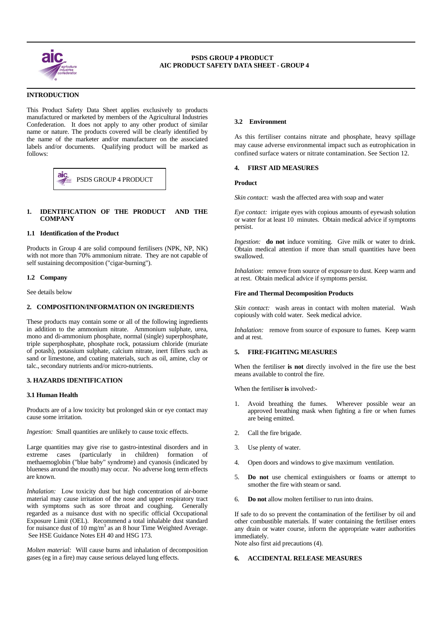

 $\overline{a}$ 

 $\overline{a}$ 

# **INTRODUCTION**

This Product Safety Data Sheet applies exclusively to products manufactured or marketed by members of the Agricultural Industries Confederation. It does not apply to any other product of similar name or nature. The products covered will be clearly identified by the name of the marketer and/or manufacturer on the associated labels and/or documents. Qualifying product will be marked as follows:



## **1. IDENTIFICATION OF THE PRODUCT AND THE COMPANY**

#### **1.1 Identification of the Product**

Products in Group 4 are solid compound fertilisers (NPK, NP, NK) with not more than 70% ammonium nitrate. They are not capable of self sustaining decomposition ("cigar-burning").

#### **1.2 Company**

See details below

## **2. COMPOSITION/INFORMATION ON INGREDIENTS**

These products may contain some or all of the following ingredients in addition to the ammonium nitrate. Ammonium sulphate, urea, mono and di-ammonium phosphate, normal (single) superphosphate, triple superphosphate, phosphate rock, potassium chloride (muriate of potash), potassium sulphate, calcium nitrate, inert fillers such as sand or limestone, and coating materials, such as oil, amine, clay or talc., secondary nutrients and/or micro-nutrients.

## **3. HAZARDS IDENTIFICATION**

#### **3.1 Human Health**

Products are of a low toxicity but prolonged skin or eye contact may cause some irritation.

*Ingestion:* Small quantities are unlikely to cause toxic effects.

Large quantities may give rise to gastro-intestinal disorders and in extreme cases (particularly in children) formation of (particularly in children) formation of methaemoglobin ("blue baby" syndrome) and cyanosis (indicated by blueness around the mouth) may occur. No adverse long term effects are known.

*Inhalation:* Low toxicity dust but high concentration of air-borne material may cause irritation of the nose and upper respiratory tract with symptoms such as sore throat and coughing. Generally regarded as a nuisance dust with no specific official Occupational Exposure Limit (OEL). Recommend a total inhalable dust standard for nuisance dust of 10 mg/m<sup>3</sup> as an 8 hour Time Weighted Average. See HSE Guidance Notes EH 40 and HSG 173.

*Molten material:* Will cause burns and inhalation of decomposition gases (eg in a fire) may cause serious delayed lung effects.

## **3.2 Environment**

As this fertiliser contains nitrate and phosphate, heavy spillage may cause adverse environmental impact such as eutrophication in confined surface waters or nitrate contamination. See Section 12.

#### **4. FIRST AID MEASURES**

*Skin contact:* wash the affected area with soap and water

*Eye contact:* irrigate eyes with copious amounts of eyewash solution or water for at least 10 minutes. Obtain medical advice if symptoms persist.

*Ingestion:* **do not** induce vomiting. Give milk or water to drink. Obtain medical attention if more than small quantities have been swallowed.

*Inhalation:* remove from source of exposure to dust. Keep warm and at rest. Obtain medical advice if symptoms persist.

#### **Fire and Thermal Decomposition Products**

*Skin contact:* wash areas in contact with molten material. Wash copiously with cold water. Seek medical advice.

*Inhalation:* remove from source of exposure to fumes. Keep warm and at rest.

## **5. FIRE-FIGHTING MEASURES**

When the fertiliser **is not** directly involved in the fire use the best means available to control the fire.

When the fertiliser **is** involved:-

- Avoid breathing the fumes. Wherever possible wear an approved breathing mask when fighting a fire or when fumes are being emitted.
- 2. Call the fire brigade.
- 3. Use plenty of water.
- 4. Open doors and windows to give maximum ventilation.
- 5. **Do not** use chemical extinguishers or foams or attempt to smother the fire with steam or sand.
- 6. **Do not** allow molten fertiliser to run into drains.

If safe to do so prevent the contamination of the fertiliser by oil and other combustible materials. If water containing the fertiliser enters any drain or water course, inform the appropriate water authorities immediately.

Note also first aid precautions (4).

#### **6. ACCIDENTAL RELEASE MEASURES**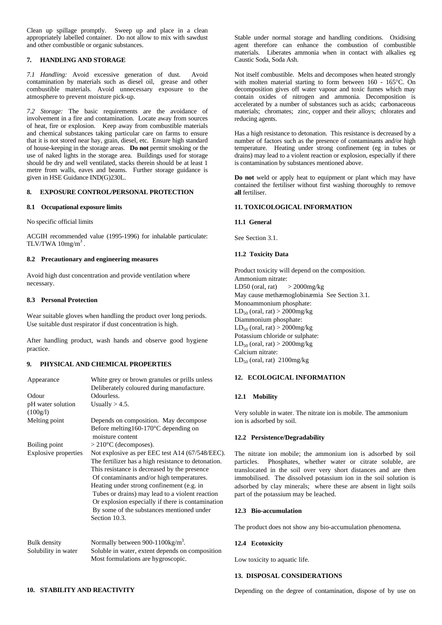Clean up spillage promptly. Sweep up and place in a clean appropriately labelled container. Do not allow to mix with sawdust and other combustible or organic substances.

## **7. HANDLING AND STORAGE**

*7.1 Handling:* Avoid excessive generation of dust. Avoid contamination by materials such as diesel oil, grease and other combustible materials. Avoid unnecessary exposure to the atmosphere to prevent moisture pick-up.

*7.2 Storage:* The basic requirements are the avoidance of involvement in a fire and contamination. Locate away from sources of heat, fire or explosion. Keep away from combustible materials and chemical substances taking particular care on farms to ensure that it is not stored near hay, grain, diesel, etc. Ensure high standard of house-keeping in the storage areas. **Do not** permit smoking or the use of naked lights in the storage area. Buildings used for storage should be dry and well ventilated, stacks therein should be at least 1 metre from walls, eaves and beams. Further storage guidance is given in HSE Guidance IND(G)230L.

## **8. EXPOSURE CONTROL/PERSONAL PROTECTION**

#### **8.1 Occupational exposure limits**

No specific official limits

ACGIH recommended value (1995-1996) for inhalable particulate: TLV/TWA  $10$ mg/m<sup>3</sup>.

#### **8.2 Precautionary and engineering measures**

Avoid high dust concentration and provide ventilation where necessary.

#### **8.3 Personal Protection**

Wear suitable gloves when handling the product over long periods. Use suitable dust respirator if dust concentration is high.

After handling product, wash hands and observe good hygiene practice.

## **9. PHYSICAL AND CHEMICAL PROPERTIES**

| Appearance                          | White grey or brown granules or prills unless                                                                                                                                                                                                                                                                                                                                                                          |
|-------------------------------------|------------------------------------------------------------------------------------------------------------------------------------------------------------------------------------------------------------------------------------------------------------------------------------------------------------------------------------------------------------------------------------------------------------------------|
|                                     | Deliberately coloured during manufacture.                                                                                                                                                                                                                                                                                                                                                                              |
| Odour                               | Odourless.                                                                                                                                                                                                                                                                                                                                                                                                             |
| pH water solution<br>(100g/l)       | Usually $> 4.5$ .                                                                                                                                                                                                                                                                                                                                                                                                      |
| Melting point                       | Depends on composition. May decompose                                                                                                                                                                                                                                                                                                                                                                                  |
|                                     | Before melting $160-170$ °C depending on<br>moisture content                                                                                                                                                                                                                                                                                                                                                           |
| Boiling point                       | $>210^{\circ}$ C (decomposes).                                                                                                                                                                                                                                                                                                                                                                                         |
| Explosive properties                | Not explosive as per EEC test A14 (67/548/EEC).<br>The fertilizer has a high resistance to detonation.<br>This resistance is decreased by the presence<br>Of contaminants and/or high temperatures.<br>Heating under strong confinement (e.g. in<br>Tubes or drains) may lead to a violent reaction<br>Or explosion especially if there is contamination<br>By some of the substances mentioned under<br>Section 10.3. |
| Bulk density<br>Solubility in water | Normally between 900-1100 $\text{kg/m}^3$ .<br>Soluble in water, extent depends on composition                                                                                                                                                                                                                                                                                                                         |

Most formulations are hygroscopic.

Stable under normal storage and handling conditions. Oxidising agent therefore can enhance the combustion of combustible materials. Liberates ammonia when in contact with alkalies eg Caustic Soda, Soda Ash.

Not itself combustible. Melts and decomposes when heated strongly with molten material starting to form between 160 - 165°C. On decomposition gives off water vapour and toxic fumes which may contain oxides of nitrogen and ammonia. Decomposition is accelerated by a number of substances such as acids; carbonaceous materials; chromates; zinc, copper and their alloys; chlorates and reducing agents.

Has a high resistance to detonation. This resistance is decreased by a number of factors such as the presence of contaminants and/or high temperature. Heating under strong confinement (eg in tubes or drains) may lead to a violent reaction or explosion, especially if there is contamination by substances mentioned above.

**Do not** weld or apply heat to equipment or plant which may have contained the fertiliser without first washing thoroughly to remove **all** fertiliser.

## **11. TOXICOLOGICAL INFORMATION**

#### **11.1 General**

See Section 3.1.

## **11.2 Toxicity Data**

Product toxicity will depend on the composition. Ammonium nitrate: LD50 (oral, rat)  $>$  2000mg/kg May cause methæmoglobinæmia See Section 3.1. Monoammonium phosphate:  $LD_{50}$  (oral, rat) > 2000mg/kg Diammonium phosphate:  $LD_{50}$  (oral, rat)  $>$  2000mg/kg Potassium chloride or sulphate:  $LD_{50}$  (oral, rat) > 2000mg/kg Calcium nitrate:  $LD_{50}$  (oral, rat) 2100mg/kg

## **12. ECOLOGICAL INFORMATION**

## **12.1 Mobility**

Very soluble in water. The nitrate ion is mobile. The ammonium ion is adsorbed by soil.

## **12.2 Persistence/Degradability**

The nitrate ion mobile; the ammonium ion is adsorbed by soil particles. Phosphates, whether water or citrate soluble, are translocated in the soil over very short distances and are then immobilised. The dissolved potassium ion in the soil solution is adsorbed by clay minerals; where these are absent in light soils part of the potassium may be leached.

#### **12.3 Bio-accumulation**

The product does not show any bio-accumulation phenomena.

#### **12.4 Ecotoxicity**

Low toxicity to aquatic life.

## **13. DISPOSAL CONSIDERATIONS**

Depending on the degree of contamination, dispose of by use on